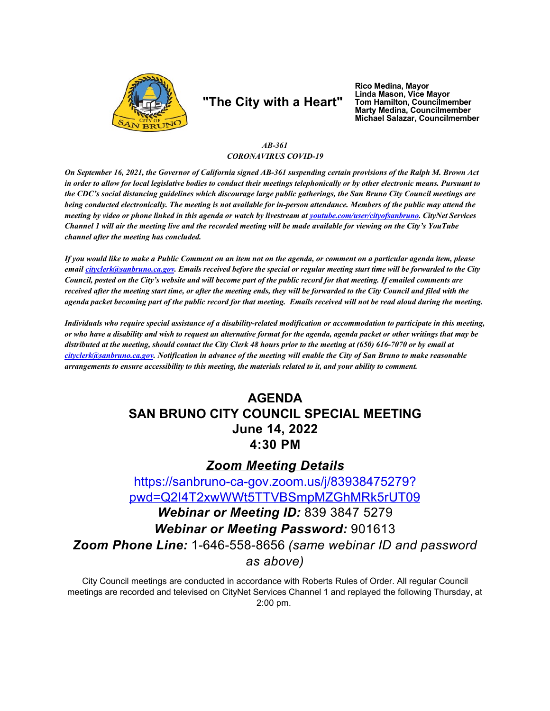

# "The City with a Heart"

Rico Medina, Mayor<br>Linda Mason, Vice Mayor Tom Hamilton, Councilmember<br>Marty Medina, Councilmember Michael Salazar, Councilmember

### $AB-361$ **CORONAVIRUS COVID-19**

On September 16, 2021, the Governor of California signed AB-361 suspending certain provisions of the Ralph M. Brown Act in order to allow for local legislative bodies to conduct their meetings telephonically or by other electronic means. Pursuant to the CDC's social distancing guidelines which discourage large public gatherings, the San Bruno City Council meetings are being conducted electronically. The meeting is not available for in-person attendance. Members of the public may attend the meeting by video or phone linked in this agenda or watch by livestream at youtube.com/user/cityofsanbruno. CityNet Services Channel 1 will air the meeting live and the recorded meeting will be made available for viewing on the City's YouTube channel after the meeting has concluded.

If you would like to make a Public Comment on an item not on the agenda, or comment on a particular agenda item, please email cityclerk@sanbruno.ca.gov. Emails received before the special or regular meeting start time will be forwarded to the City Council, posted on the City's website and will become part of the public record for that meeting. If emailed comments are received after the meeting start time, or after the meeting ends, they will be forwarded to the City Council and filed with the agenda packet becoming part of the public record for that meeting. Emails received will not be read aloud during the meeting.

Individuals who require special assistance of a disability-related modification or accommodation to participate in this meeting, or who have a disability and wish to request an alternative format for the agenda, agenda packet or other writings that may be distributed at the meeting, should contact the City Clerk 48 hours prior to the meeting at (650) 616-7070 or by email at cityclerk@sanbruno.ca.gov. Notification in advance of the meeting will enable the City of San Bruno to make reasonable arrangements to ensure accessibility to this meeting, the materials related to it, and your ability to comment.

# **AGENDA SAN BRUNO CITY COUNCIL SPECIAL MEETING June 14, 2022** 4:30 PM

## **Zoom Meeting Details**

https://sanbruno-ca-gov.zoom.us/j/83938475279? pwd=Q2I4T2xwWWt5TTVBSmpMZGhMRk5rUT09 Webinar or Meeting ID: 839 3847 5279 **Webinar or Meeting Password: 901613** Zoom Phone Line: 1-646-558-8656 (same webinar ID and password as above)

City Council meetings are conducted in accordance with Roberts Rules of Order. All regular Council meetings are recorded and televised on CityNet Services Channel 1 and replayed the following Thursday, at 2:00 pm.